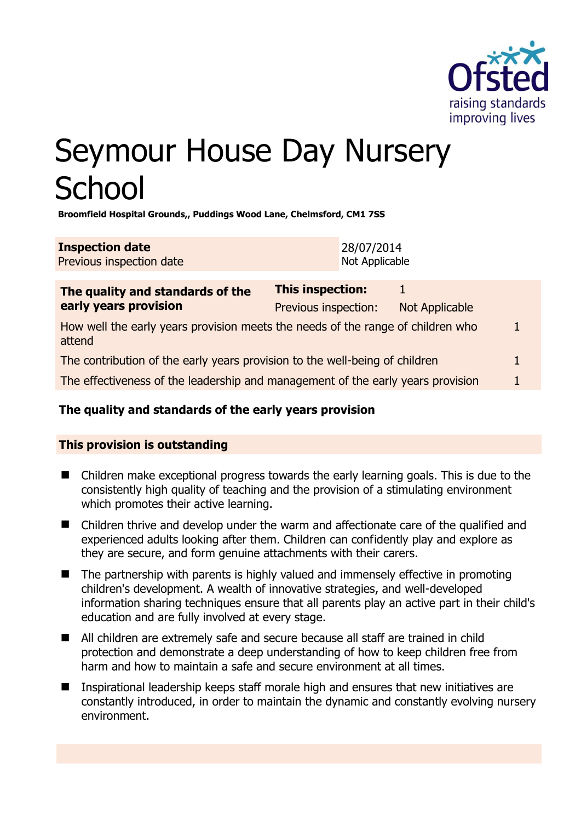

# Seymour House Day Nursery **School**

**Broomfield Hospital Grounds,, Puddings Wood Lane, Chelmsford, CM1 7SS** 

| <b>Inspection date</b>   | 28/07/2014     |
|--------------------------|----------------|
| Previous inspection date | Not Applicable |

| The quality and standards of the                                                          | <b>This inspection:</b> |                |  |
|-------------------------------------------------------------------------------------------|-------------------------|----------------|--|
| early years provision                                                                     | Previous inspection:    | Not Applicable |  |
| How well the early years provision meets the needs of the range of children who<br>attend |                         |                |  |
| The contribution of the early years provision to the well-being of children               |                         |                |  |
| The effectiveness of the leadership and management of the early years provision           |                         |                |  |
|                                                                                           |                         |                |  |

# **The quality and standards of the early years provision**

# **This provision is outstanding**

- Children make exceptional progress towards the early learning goals. This is due to the consistently high quality of teaching and the provision of a stimulating environment which promotes their active learning.
- Children thrive and develop under the warm and affectionate care of the qualified and experienced adults looking after them. Children can confidently play and explore as they are secure, and form genuine attachments with their carers.
- $\blacksquare$  The partnership with parents is highly valued and immensely effective in promoting children's development. A wealth of innovative strategies, and well-developed information sharing techniques ensure that all parents play an active part in their child's education and are fully involved at every stage.
- All children are extremely safe and secure because all staff are trained in child protection and demonstrate a deep understanding of how to keep children free from harm and how to maintain a safe and secure environment at all times.
- Inspirational leadership keeps staff morale high and ensures that new initiatives are constantly introduced, in order to maintain the dynamic and constantly evolving nursery environment.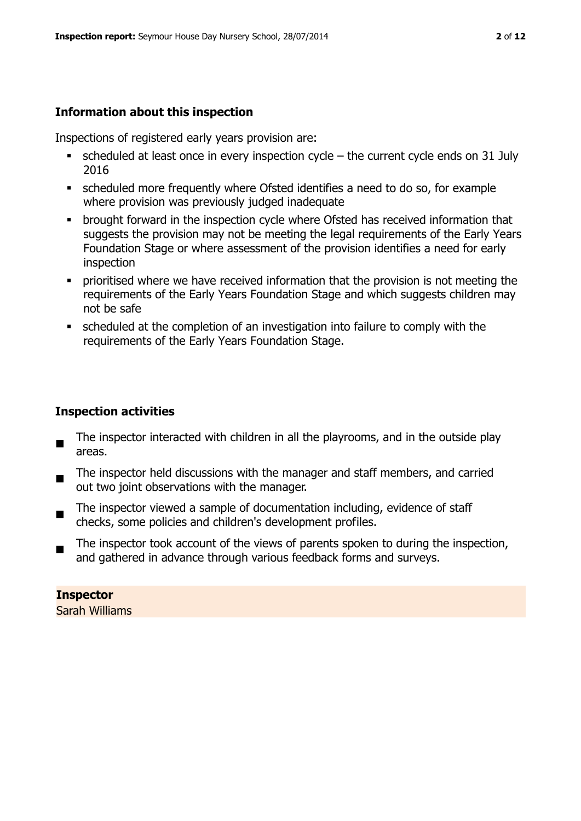## **Information about this inspection**

Inspections of registered early years provision are:

- $\bullet$  scheduled at least once in every inspection cycle the current cycle ends on 31 July 2016
- scheduled more frequently where Ofsted identifies a need to do so, for example where provision was previously judged inadequate
- **•** brought forward in the inspection cycle where Ofsted has received information that suggests the provision may not be meeting the legal requirements of the Early Years Foundation Stage or where assessment of the provision identifies a need for early inspection
- **•** prioritised where we have received information that the provision is not meeting the requirements of the Early Years Foundation Stage and which suggests children may not be safe
- scheduled at the completion of an investigation into failure to comply with the requirements of the Early Years Foundation Stage.

# **Inspection activities**

- The inspector interacted with children in all the playrooms, and in the outside play areas.
- $\blacksquare$ The inspector held discussions with the manager and staff members, and carried out two joint observations with the manager.
- The inspector viewed a sample of documentation including, evidence of staff checks, some policies and children's development profiles.
- The inspector took account of the views of parents spoken to during the inspection, and gathered in advance through various feedback forms and surveys.

# **Inspector**

Sarah Williams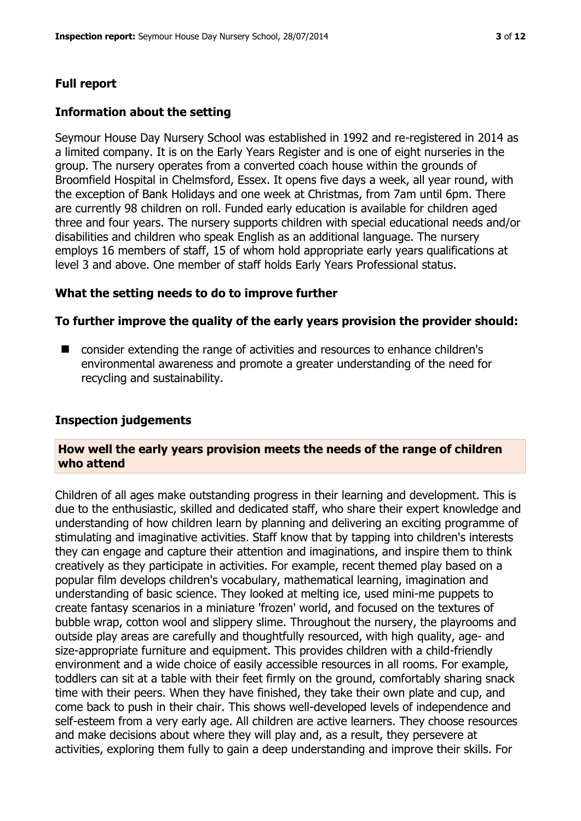# **Full report**

#### **Information about the setting**

Seymour House Day Nursery School was established in 1992 and re-registered in 2014 as a limited company. It is on the Early Years Register and is one of eight nurseries in the group. The nursery operates from a converted coach house within the grounds of Broomfield Hospital in Chelmsford, Essex. It opens five days a week, all year round, with the exception of Bank Holidays and one week at Christmas, from 7am until 6pm. There are currently 98 children on roll. Funded early education is available for children aged three and four years. The nursery supports children with special educational needs and/or disabilities and children who speak English as an additional language. The nursery employs 16 members of staff, 15 of whom hold appropriate early years qualifications at level 3 and above. One member of staff holds Early Years Professional status.

#### **What the setting needs to do to improve further**

#### **To further improve the quality of the early years provision the provider should:**

■ consider extending the range of activities and resources to enhance children's environmental awareness and promote a greater understanding of the need for recycling and sustainability.

#### **Inspection judgements**

#### **How well the early years provision meets the needs of the range of children who attend**

Children of all ages make outstanding progress in their learning and development. This is due to the enthusiastic, skilled and dedicated staff, who share their expert knowledge and understanding of how children learn by planning and delivering an exciting programme of stimulating and imaginative activities. Staff know that by tapping into children's interests they can engage and capture their attention and imaginations, and inspire them to think creatively as they participate in activities. For example, recent themed play based on a popular film develops children's vocabulary, mathematical learning, imagination and understanding of basic science. They looked at melting ice, used mini-me puppets to create fantasy scenarios in a miniature 'frozen' world, and focused on the textures of bubble wrap, cotton wool and slippery slime. Throughout the nursery, the playrooms and outside play areas are carefully and thoughtfully resourced, with high quality, age- and size-appropriate furniture and equipment. This provides children with a child-friendly environment and a wide choice of easily accessible resources in all rooms. For example, toddlers can sit at a table with their feet firmly on the ground, comfortably sharing snack time with their peers. When they have finished, they take their own plate and cup, and come back to push in their chair. This shows well-developed levels of independence and self-esteem from a very early age. All children are active learners. They choose resources and make decisions about where they will play and, as a result, they persevere at activities, exploring them fully to gain a deep understanding and improve their skills. For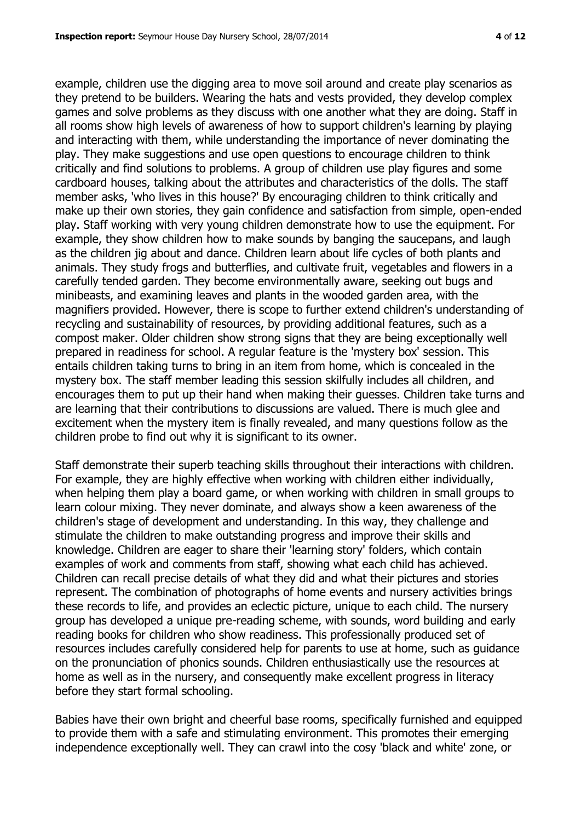example, children use the digging area to move soil around and create play scenarios as they pretend to be builders. Wearing the hats and vests provided, they develop complex games and solve problems as they discuss with one another what they are doing. Staff in all rooms show high levels of awareness of how to support children's learning by playing and interacting with them, while understanding the importance of never dominating the play. They make suggestions and use open questions to encourage children to think critically and find solutions to problems. A group of children use play figures and some cardboard houses, talking about the attributes and characteristics of the dolls. The staff member asks, 'who lives in this house?' By encouraging children to think critically and make up their own stories, they gain confidence and satisfaction from simple, open-ended play. Staff working with very young children demonstrate how to use the equipment. For example, they show children how to make sounds by banging the saucepans, and laugh as the children jig about and dance. Children learn about life cycles of both plants and animals. They study frogs and butterflies, and cultivate fruit, vegetables and flowers in a carefully tended garden. They become environmentally aware, seeking out bugs and minibeasts, and examining leaves and plants in the wooded garden area, with the magnifiers provided. However, there is scope to further extend children's understanding of recycling and sustainability of resources, by providing additional features, such as a compost maker. Older children show strong signs that they are being exceptionally well prepared in readiness for school. A regular feature is the 'mystery box' session. This entails children taking turns to bring in an item from home, which is concealed in the mystery box. The staff member leading this session skilfully includes all children, and encourages them to put up their hand when making their guesses. Children take turns and are learning that their contributions to discussions are valued. There is much glee and excitement when the mystery item is finally revealed, and many questions follow as the children probe to find out why it is significant to its owner.

Staff demonstrate their superb teaching skills throughout their interactions with children. For example, they are highly effective when working with children either individually, when helping them play a board game, or when working with children in small groups to learn colour mixing. They never dominate, and always show a keen awareness of the children's stage of development and understanding. In this way, they challenge and stimulate the children to make outstanding progress and improve their skills and knowledge. Children are eager to share their 'learning story' folders, which contain examples of work and comments from staff, showing what each child has achieved. Children can recall precise details of what they did and what their pictures and stories represent. The combination of photographs of home events and nursery activities brings these records to life, and provides an eclectic picture, unique to each child. The nursery group has developed a unique pre-reading scheme, with sounds, word building and early reading books for children who show readiness. This professionally produced set of resources includes carefully considered help for parents to use at home, such as guidance on the pronunciation of phonics sounds. Children enthusiastically use the resources at home as well as in the nursery, and consequently make excellent progress in literacy before they start formal schooling.

Babies have their own bright and cheerful base rooms, specifically furnished and equipped to provide them with a safe and stimulating environment. This promotes their emerging independence exceptionally well. They can crawl into the cosy 'black and white' zone, or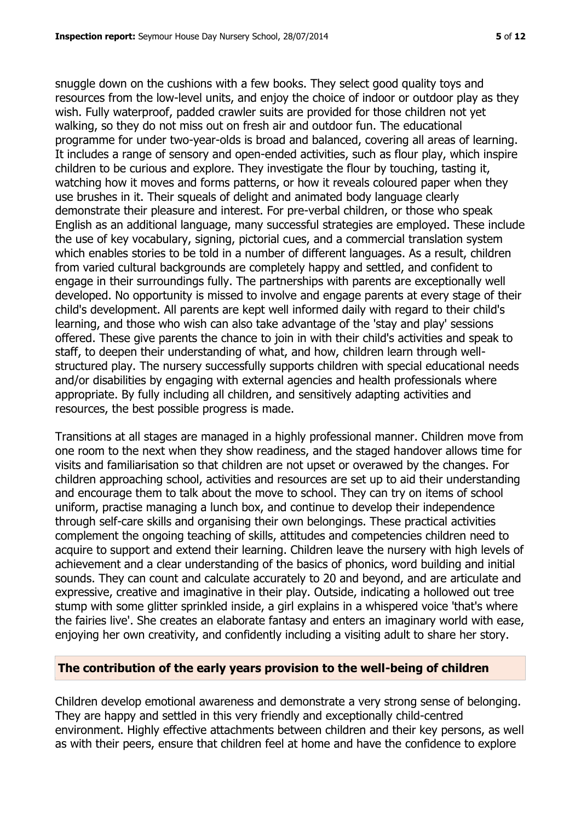snuggle down on the cushions with a few books. They select good quality toys and resources from the low-level units, and enjoy the choice of indoor or outdoor play as they wish. Fully waterproof, padded crawler suits are provided for those children not yet walking, so they do not miss out on fresh air and outdoor fun. The educational programme for under two-year-olds is broad and balanced, covering all areas of learning. It includes a range of sensory and open-ended activities, such as flour play, which inspire children to be curious and explore. They investigate the flour by touching, tasting it, watching how it moves and forms patterns, or how it reveals coloured paper when they use brushes in it. Their squeals of delight and animated body language clearly demonstrate their pleasure and interest. For pre-verbal children, or those who speak English as an additional language, many successful strategies are employed. These include the use of key vocabulary, signing, pictorial cues, and a commercial translation system which enables stories to be told in a number of different languages. As a result, children from varied cultural backgrounds are completely happy and settled, and confident to engage in their surroundings fully. The partnerships with parents are exceptionally well developed. No opportunity is missed to involve and engage parents at every stage of their child's development. All parents are kept well informed daily with regard to their child's learning, and those who wish can also take advantage of the 'stay and play' sessions offered. These give parents the chance to join in with their child's activities and speak to staff, to deepen their understanding of what, and how, children learn through wellstructured play. The nursery successfully supports children with special educational needs and/or disabilities by engaging with external agencies and health professionals where appropriate. By fully including all children, and sensitively adapting activities and resources, the best possible progress is made.

Transitions at all stages are managed in a highly professional manner. Children move from one room to the next when they show readiness, and the staged handover allows time for visits and familiarisation so that children are not upset or overawed by the changes. For children approaching school, activities and resources are set up to aid their understanding and encourage them to talk about the move to school. They can try on items of school uniform, practise managing a lunch box, and continue to develop their independence through self-care skills and organising their own belongings. These practical activities complement the ongoing teaching of skills, attitudes and competencies children need to acquire to support and extend their learning. Children leave the nursery with high levels of achievement and a clear understanding of the basics of phonics, word building and initial sounds. They can count and calculate accurately to 20 and beyond, and are articulate and expressive, creative and imaginative in their play. Outside, indicating a hollowed out tree stump with some glitter sprinkled inside, a girl explains in a whispered voice 'that's where the fairies live'. She creates an elaborate fantasy and enters an imaginary world with ease, enjoying her own creativity, and confidently including a visiting adult to share her story.

#### **The contribution of the early years provision to the well-being of children**

Children develop emotional awareness and demonstrate a very strong sense of belonging. They are happy and settled in this very friendly and exceptionally child-centred environment. Highly effective attachments between children and their key persons, as well as with their peers, ensure that children feel at home and have the confidence to explore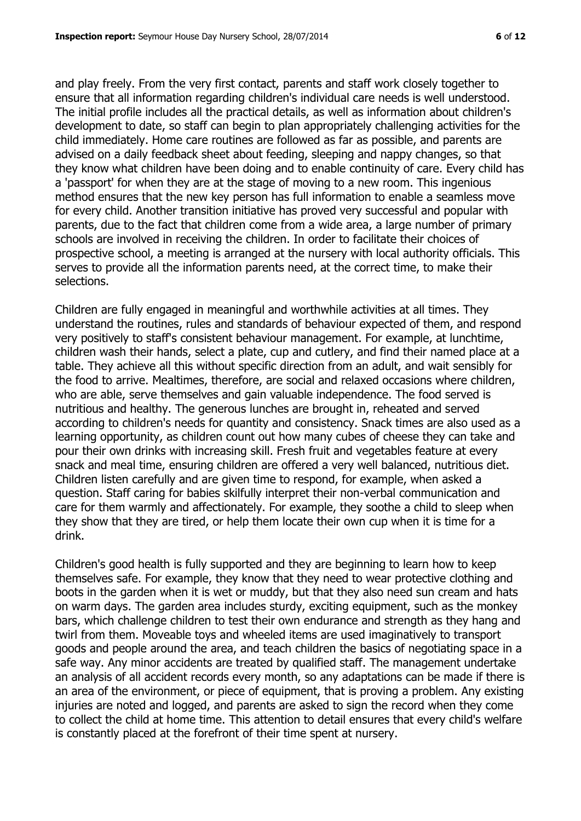and play freely. From the very first contact, parents and staff work closely together to ensure that all information regarding children's individual care needs is well understood. The initial profile includes all the practical details, as well as information about children's development to date, so staff can begin to plan appropriately challenging activities for the child immediately. Home care routines are followed as far as possible, and parents are advised on a daily feedback sheet about feeding, sleeping and nappy changes, so that they know what children have been doing and to enable continuity of care. Every child has a 'passport' for when they are at the stage of moving to a new room. This ingenious method ensures that the new key person has full information to enable a seamless move for every child. Another transition initiative has proved very successful and popular with parents, due to the fact that children come from a wide area, a large number of primary schools are involved in receiving the children. In order to facilitate their choices of prospective school, a meeting is arranged at the nursery with local authority officials. This serves to provide all the information parents need, at the correct time, to make their selections.

Children are fully engaged in meaningful and worthwhile activities at all times. They understand the routines, rules and standards of behaviour expected of them, and respond very positively to staff's consistent behaviour management. For example, at lunchtime, children wash their hands, select a plate, cup and cutlery, and find their named place at a table. They achieve all this without specific direction from an adult, and wait sensibly for the food to arrive. Mealtimes, therefore, are social and relaxed occasions where children, who are able, serve themselves and gain valuable independence. The food served is nutritious and healthy. The generous lunches are brought in, reheated and served according to children's needs for quantity and consistency. Snack times are also used as a learning opportunity, as children count out how many cubes of cheese they can take and pour their own drinks with increasing skill. Fresh fruit and vegetables feature at every snack and meal time, ensuring children are offered a very well balanced, nutritious diet. Children listen carefully and are given time to respond, for example, when asked a question. Staff caring for babies skilfully interpret their non-verbal communication and care for them warmly and affectionately. For example, they soothe a child to sleep when they show that they are tired, or help them locate their own cup when it is time for a drink.

Children's good health is fully supported and they are beginning to learn how to keep themselves safe. For example, they know that they need to wear protective clothing and boots in the garden when it is wet or muddy, but that they also need sun cream and hats on warm days. The garden area includes sturdy, exciting equipment, such as the monkey bars, which challenge children to test their own endurance and strength as they hang and twirl from them. Moveable toys and wheeled items are used imaginatively to transport goods and people around the area, and teach children the basics of negotiating space in a safe way. Any minor accidents are treated by qualified staff. The management undertake an analysis of all accident records every month, so any adaptations can be made if there is an area of the environment, or piece of equipment, that is proving a problem. Any existing injuries are noted and logged, and parents are asked to sign the record when they come to collect the child at home time. This attention to detail ensures that every child's welfare is constantly placed at the forefront of their time spent at nursery.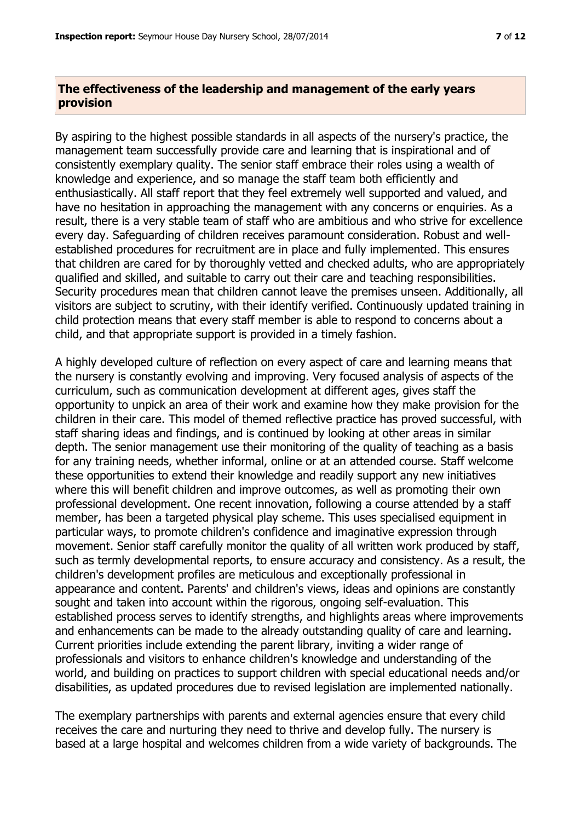## **The effectiveness of the leadership and management of the early years provision**

By aspiring to the highest possible standards in all aspects of the nursery's practice, the management team successfully provide care and learning that is inspirational and of consistently exemplary quality. The senior staff embrace their roles using a wealth of knowledge and experience, and so manage the staff team both efficiently and enthusiastically. All staff report that they feel extremely well supported and valued, and have no hesitation in approaching the management with any concerns or enquiries. As a result, there is a very stable team of staff who are ambitious and who strive for excellence every day. Safeguarding of children receives paramount consideration. Robust and wellestablished procedures for recruitment are in place and fully implemented. This ensures that children are cared for by thoroughly vetted and checked adults, who are appropriately qualified and skilled, and suitable to carry out their care and teaching responsibilities. Security procedures mean that children cannot leave the premises unseen. Additionally, all visitors are subject to scrutiny, with their identify verified. Continuously updated training in child protection means that every staff member is able to respond to concerns about a child, and that appropriate support is provided in a timely fashion.

A highly developed culture of reflection on every aspect of care and learning means that the nursery is constantly evolving and improving. Very focused analysis of aspects of the curriculum, such as communication development at different ages, gives staff the opportunity to unpick an area of their work and examine how they make provision for the children in their care. This model of themed reflective practice has proved successful, with staff sharing ideas and findings, and is continued by looking at other areas in similar depth. The senior management use their monitoring of the quality of teaching as a basis for any training needs, whether informal, online or at an attended course. Staff welcome these opportunities to extend their knowledge and readily support any new initiatives where this will benefit children and improve outcomes, as well as promoting their own professional development. One recent innovation, following a course attended by a staff member, has been a targeted physical play scheme. This uses specialised equipment in particular ways, to promote children's confidence and imaginative expression through movement. Senior staff carefully monitor the quality of all written work produced by staff, such as termly developmental reports, to ensure accuracy and consistency. As a result, the children's development profiles are meticulous and exceptionally professional in appearance and content. Parents' and children's views, ideas and opinions are constantly sought and taken into account within the rigorous, ongoing self-evaluation. This established process serves to identify strengths, and highlights areas where improvements and enhancements can be made to the already outstanding quality of care and learning. Current priorities include extending the parent library, inviting a wider range of professionals and visitors to enhance children's knowledge and understanding of the world, and building on practices to support children with special educational needs and/or disabilities, as updated procedures due to revised legislation are implemented nationally.

The exemplary partnerships with parents and external agencies ensure that every child receives the care and nurturing they need to thrive and develop fully. The nursery is based at a large hospital and welcomes children from a wide variety of backgrounds. The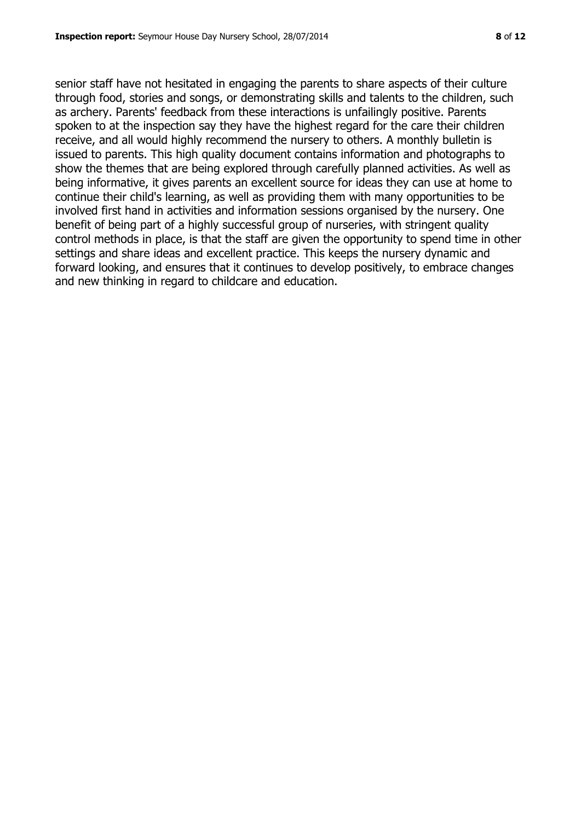senior staff have not hesitated in engaging the parents to share aspects of their culture through food, stories and songs, or demonstrating skills and talents to the children, such as archery. Parents' feedback from these interactions is unfailingly positive. Parents spoken to at the inspection say they have the highest regard for the care their children receive, and all would highly recommend the nursery to others. A monthly bulletin is issued to parents. This high quality document contains information and photographs to show the themes that are being explored through carefully planned activities. As well as being informative, it gives parents an excellent source for ideas they can use at home to continue their child's learning, as well as providing them with many opportunities to be involved first hand in activities and information sessions organised by the nursery. One benefit of being part of a highly successful group of nurseries, with stringent quality control methods in place, is that the staff are given the opportunity to spend time in other settings and share ideas and excellent practice. This keeps the nursery dynamic and forward looking, and ensures that it continues to develop positively, to embrace changes and new thinking in regard to childcare and education.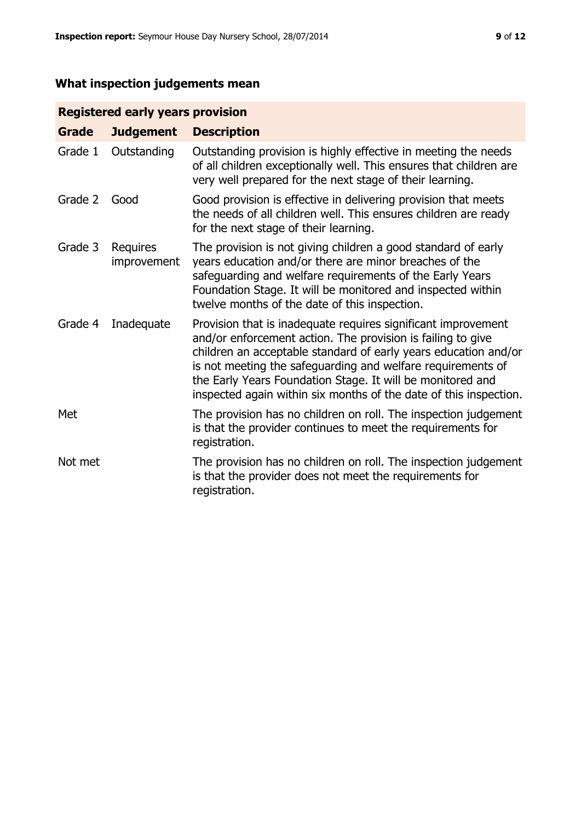# **What inspection judgements mean**

# **Registered early years provision**

| <b>Grade</b> | <b>Judgement</b>        | <b>Description</b>                                                                                                                                                                                                                                                                                                                                                                                |
|--------------|-------------------------|---------------------------------------------------------------------------------------------------------------------------------------------------------------------------------------------------------------------------------------------------------------------------------------------------------------------------------------------------------------------------------------------------|
| Grade 1      | Outstanding             | Outstanding provision is highly effective in meeting the needs<br>of all children exceptionally well. This ensures that children are<br>very well prepared for the next stage of their learning.                                                                                                                                                                                                  |
| Grade 2      | Good                    | Good provision is effective in delivering provision that meets<br>the needs of all children well. This ensures children are ready<br>for the next stage of their learning.                                                                                                                                                                                                                        |
| Grade 3      | Requires<br>improvement | The provision is not giving children a good standard of early<br>years education and/or there are minor breaches of the<br>safeguarding and welfare requirements of the Early Years<br>Foundation Stage. It will be monitored and inspected within<br>twelve months of the date of this inspection.                                                                                               |
| Grade 4      | Inadequate              | Provision that is inadequate requires significant improvement<br>and/or enforcement action. The provision is failing to give<br>children an acceptable standard of early years education and/or<br>is not meeting the safeguarding and welfare requirements of<br>the Early Years Foundation Stage. It will be monitored and<br>inspected again within six months of the date of this inspection. |
| Met          |                         | The provision has no children on roll. The inspection judgement<br>is that the provider continues to meet the requirements for<br>registration.                                                                                                                                                                                                                                                   |
| Not met      |                         | The provision has no children on roll. The inspection judgement<br>is that the provider does not meet the requirements for<br>registration.                                                                                                                                                                                                                                                       |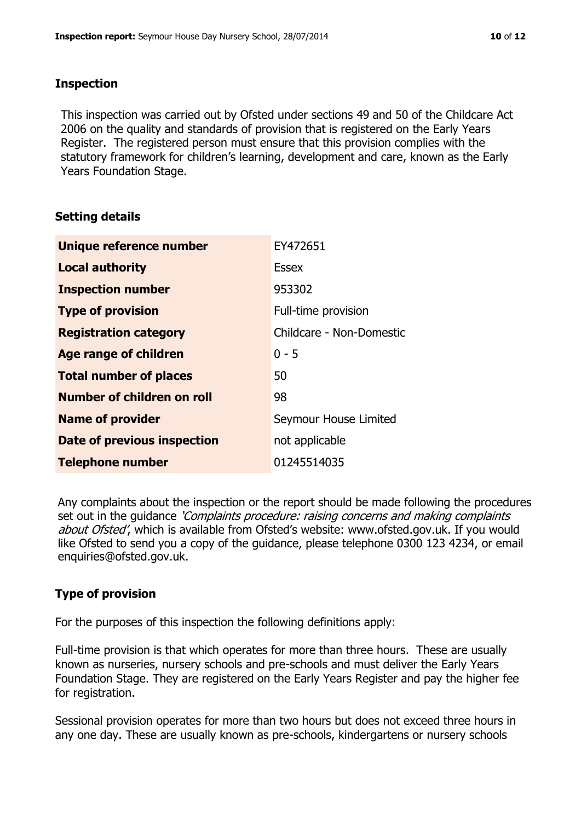#### **Inspection**

This inspection was carried out by Ofsted under sections 49 and 50 of the Childcare Act 2006 on the quality and standards of provision that is registered on the Early Years Register. The registered person must ensure that this provision complies with the statutory framework for children's learning, development and care, known as the Early Years Foundation Stage.

#### **Setting details**

| Unique reference number       | EY472651                 |
|-------------------------------|--------------------------|
| <b>Local authority</b>        | <b>Essex</b>             |
| <b>Inspection number</b>      | 953302                   |
| <b>Type of provision</b>      | Full-time provision      |
| <b>Registration category</b>  | Childcare - Non-Domestic |
| <b>Age range of children</b>  | $0 - 5$                  |
| <b>Total number of places</b> | 50                       |
| Number of children on roll    | 98                       |
| <b>Name of provider</b>       | Seymour House Limited    |
| Date of previous inspection   | not applicable           |
| <b>Telephone number</b>       | 01245514035              |

Any complaints about the inspection or the report should be made following the procedures set out in the guidance *'Complaints procedure: raising concerns and making complaints* about Ofsted', which is available from Ofsted's website: www.ofsted.gov.uk. If you would like Ofsted to send you a copy of the guidance, please telephone 0300 123 4234, or email enquiries@ofsted.gov.uk.

# **Type of provision**

For the purposes of this inspection the following definitions apply:

Full-time provision is that which operates for more than three hours. These are usually known as nurseries, nursery schools and pre-schools and must deliver the Early Years Foundation Stage. They are registered on the Early Years Register and pay the higher fee for registration.

Sessional provision operates for more than two hours but does not exceed three hours in any one day. These are usually known as pre-schools, kindergartens or nursery schools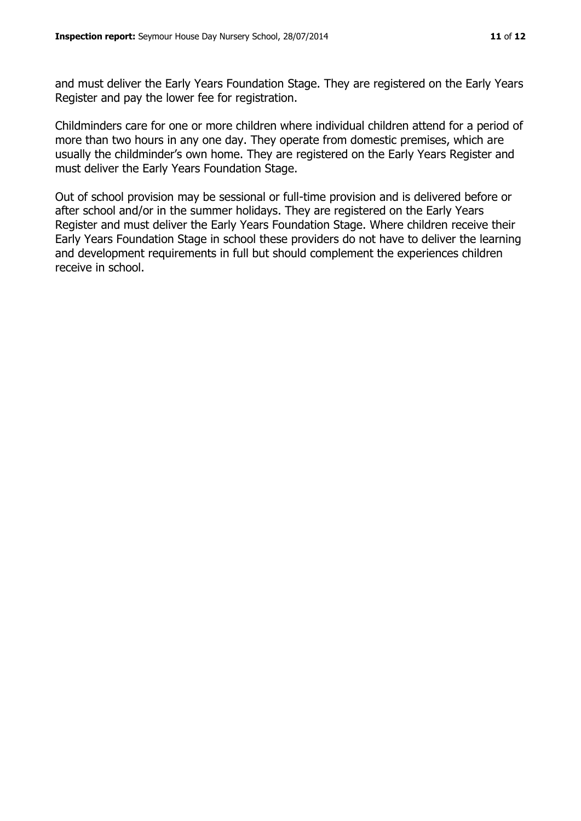and must deliver the Early Years Foundation Stage. They are registered on the Early Years Register and pay the lower fee for registration.

Childminders care for one or more children where individual children attend for a period of more than two hours in any one day. They operate from domestic premises, which are usually the childminder's own home. They are registered on the Early Years Register and must deliver the Early Years Foundation Stage.

Out of school provision may be sessional or full-time provision and is delivered before or after school and/or in the summer holidays. They are registered on the Early Years Register and must deliver the Early Years Foundation Stage. Where children receive their Early Years Foundation Stage in school these providers do not have to deliver the learning and development requirements in full but should complement the experiences children receive in school.